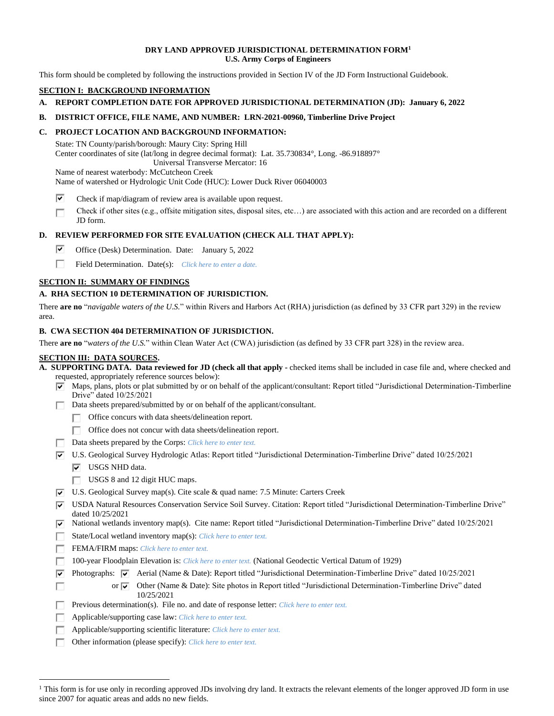#### **DRY LAND APPROVED JURISDICTIONAL DETERMINATION FORM<sup>1</sup> U.S. Army Corps of Engineers**

This form should be completed by following the instructions provided in Section IV of the JD Form Instructional Guidebook.

# **SECTION I: BACKGROUND INFORMATION**

**A. REPORT COMPLETION DATE FOR APPROVED JURISDICTIONAL DETERMINATION (JD): January 6, 2022**

#### **B. DISTRICT OFFICE, FILE NAME, AND NUMBER: LRN-2021-00960, Timberline Drive Project**

#### **C. PROJECT LOCATION AND BACKGROUND INFORMATION:**

State: TN County/parish/borough: Maury City: Spring Hill Center coordinates of site (lat/long in degree decimal format): Lat. 35.730834°, Long. -86.918897° Universal Transverse Mercator: 16 Name of nearest waterbody: McCutcheon Creek

Name of watershed or Hydrologic Unit Code (HUC): Lower Duck River 06040003

- ⊽ Check if map/diagram of review area is available upon request.
- Check if other sites (e.g., offsite mitigation sites, disposal sites, etc…) are associated with this action and are recorded on a different П JD form.

### **D. REVIEW PERFORMED FOR SITE EVALUATION (CHECK ALL THAT APPLY):**

- ⊽ Office (Desk) Determination. Date: January 5, 2022
- П. Field Determination. Date(s): *Click here to enter a date.*

#### **SECTION II: SUMMARY OF FINDINGS**

#### **A. RHA SECTION 10 DETERMINATION OF JURISDICTION.**

There **are no** "*navigable waters of the U.S.*" within Rivers and Harbors Act (RHA) jurisdiction (as defined by 33 CFR part 329) in the review area.

#### **B. CWA SECTION 404 DETERMINATION OF JURISDICTION.**

There **are no** "*waters of the U.S.*" within Clean Water Act (CWA) jurisdiction (as defined by 33 CFR part 328) in the review area.

### **SECTION III: DATA SOURCES.**

|  | A. SUPPORTING DATA. Data reviewed for JD (check all that apply - checked items shall be included in case file and, where checked and |  |  |
|--|--------------------------------------------------------------------------------------------------------------------------------------|--|--|
|  | requested, appropriately reference sources below):                                                                                   |  |  |

- $\overline{\triangledown}$  Maps, plans, plots or plat submitted by or on behalf of the applicant/consultant: Report titled "Jurisdictional Determination-Timberline Drive" dated 10/25/2021
- Data sheets prepared/submitted by or on behalf of the applicant/consultant.
	- Office concurs with data sheets/delineation report.
	- Office does not concur with data sheets/delineation report.
- Data sheets prepared by the Corps: *Click here to enter text.*
- $\overline{v}$  U.S. Geological Survey Hydrologic Atlas: Report titled "Jurisdictional Determination-Timberline Drive" dated 10/25/2021
	- $\nabla$  USGS NHD data.

г

- $\Box$  USGS 8 and 12 digit HUC maps.
- $\overline{v}$  U.S. Geological Survey map(s). Cite scale & quad name: 7.5 Minute: Carters Creek
- USDA Natural Resources Conservation Service Soil Survey. Citation: Report titled "Jurisdictional Determination-Timberline Drive" dated 10/25/2021
- $\overline{|v|}$  National wetlands inventory map(s). Cite name: Report titled "Jurisdictional Determination-Timberline Drive" dated 10/25/2021
- State/Local wetland inventory map(s): *Click here to enter text.*
- FEMA/FIRM maps: *Click here to enter text.*
- 100-year Floodplain Elevation is: *Click here to enter text.* (National Geodectic Vertical Datum of 1929) Г.
- $\overline{\mathbf{v}}$ Photographs:  $\overline{|\mathbf{v}|}$  Aerial (Name & Date): Report titled "Jurisdictional Determination-Timberline Drive" dated 10/25/2021
	- or  $\overline{\blacktriangledown}$  Other (Name & Date): Site photos in Report titled "Jurisdictional Determination-Timberline Drive" dated 10/25/2021
- Previous determination(s). File no. and date of response letter: *Click here to enter text.* П.
- Applicable/supporting case law: *Click here to enter text.* п
- Applicable/supporting scientific literature: *Click here to enter text.*
- П. Other information (please specify): *Click here to enter text.*

<sup>&</sup>lt;sup>1</sup> This form is for use only in recording approved JDs involving dry land. It extracts the relevant elements of the longer approved JD form in use since 2007 for aquatic areas and adds no new fields.